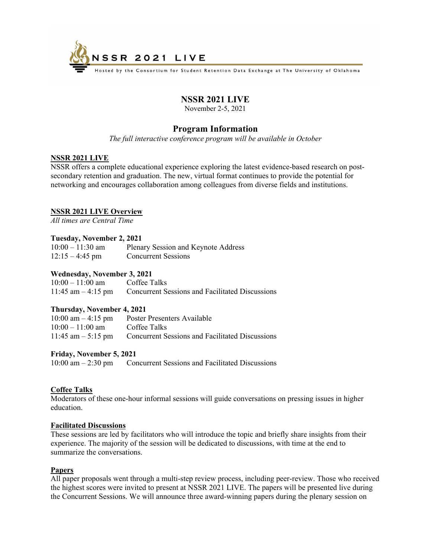

Hosted by the Consortium for Student Retention Data Exchange at The University of Oklahoma

# **NSSR 2021 LIVE**

November 2-5, 2021

# **Program Information**

*The full interactive conference program will be available in October* 

# **NSSR 2021 LIVE**

NSSR offers a complete educational experience exploring the latest evidence-based research on postsecondary retention and graduation. The new, virtual format continues to provide the potential for networking and encourages collaboration among colleagues from diverse fields and institutions.

# **NSSR 2021 LIVE Overview**

*All times are Central Time* 

# **Tuesday, November 2, 2021**

| $10:00 - 11:30$ am | Plenary Session and Keynote Address |
|--------------------|-------------------------------------|
| $12:15 - 4:45$ pm  | <b>Concurrent Sessions</b>          |

# **Wednesday, November 3, 2021**

| $10:00 - 11:00$ am   | Coffee Talks                                           |
|----------------------|--------------------------------------------------------|
| 11:45 am $-$ 4:15 pm | <b>Concurrent Sessions and Facilitated Discussions</b> |

### **Thursday, November 4, 2021**

| $10:00$ am $-4:15$ pm | Poster Presenters Available                                           |
|-----------------------|-----------------------------------------------------------------------|
| $10:00 - 11:00$ am    | Coffee Talks                                                          |
|                       | $11:45$ am $-5:15$ pm Concurrent Sessions and Facilitated Discussions |

### **Friday, November 5, 2021**

10:00 am – 2:30 pm Concurrent Sessions and Facilitated Discussions

# **Coffee Talks**

Moderators of these one-hour informal sessions will guide conversations on pressing issues in higher education.

### **Facilitated Discussions**

These sessions are led by facilitators who will introduce the topic and briefly share insights from their experience. The majority of the session will be dedicated to discussions, with time at the end to summarize the conversations.

### **Papers**

All paper proposals went through a multi-step review process, including peer-review. Those who received the highest scores were invited to present at NSSR 2021 LIVE. The papers will be presented live during the Concurrent Sessions. We will announce three award-winning papers during the plenary session on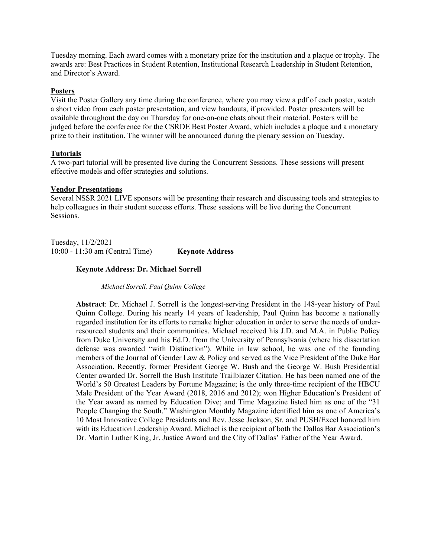Tuesday morning. Each award comes with a monetary prize for the institution and a plaque or trophy. The awards are: Best Practices in Student Retention, Institutional Research Leadership in Student Retention, and Director's Award.

# **Posters**

Visit the Poster Gallery any time during the conference, where you may view a pdf of each poster, watch a short video from each poster presentation, and view handouts, if provided. Poster presenters will be available throughout the day on Thursday for one-on-one chats about their material. Posters will be judged before the conference for the CSRDE Best Poster Award, which includes a plaque and a monetary prize to their institution. The winner will be announced during the plenary session on Tuesday.

# **Tutorials**

A two-part tutorial will be presented live during the Concurrent Sessions. These sessions will present effective models and offer strategies and solutions.

### **Vendor Presentations**

Several NSSR 2021 LIVE sponsors will be presenting their research and discussing tools and strategies to help colleagues in their student success efforts. These sessions will be live during the Concurrent Sessions.

Tuesday, 11/2/2021 10:00 - 11:30 am (Central Time) **Keynote Address** 

### **Keynote Address: Dr. Michael Sorrell**

*Michael Sorrell, Paul Quinn College* 

**Abstract**: Dr. Michael J. Sorrell is the longest-serving President in the 148-year history of Paul Quinn College. During his nearly 14 years of leadership, Paul Quinn has become a nationally regarded institution for its efforts to remake higher education in order to serve the needs of underresourced students and their communities. Michael received his J.D. and M.A. in Public Policy from Duke University and his Ed.D. from the University of Pennsylvania (where his dissertation defense was awarded "with Distinction"). While in law school, he was one of the founding members of the Journal of Gender Law & Policy and served as the Vice President of the Duke Bar Association. Recently, former President George W. Bush and the George W. Bush Presidential Center awarded Dr. Sorrell the Bush Institute Trailblazer Citation. He has been named one of the World's 50 Greatest Leaders by Fortune Magazine; is the only three-time recipient of the HBCU Male President of the Year Award (2018, 2016 and 2012); won Higher Education's President of the Year award as named by Education Dive; and Time Magazine listed him as one of the "31 People Changing the South." Washington Monthly Magazine identified him as one of America's 10 Most Innovative College Presidents and Rev. Jesse Jackson, Sr. and PUSH/Excel honored him with its Education Leadership Award. Michael is the recipient of both the Dallas Bar Association's Dr. Martin Luther King, Jr. Justice Award and the City of Dallas' Father of the Year Award.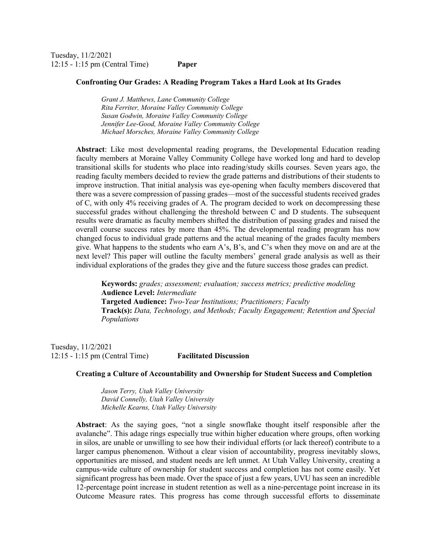Tuesday, 11/2/2021 12:15 - 1:15 pm (Central Time) **Paper** 

#### **Confronting Our Grades: A Reading Program Takes a Hard Look at Its Grades**

*Grant J. Matthews, Lane Community College Rita Ferriter, Moraine Valley Community College Susan Godwin, Moraine Valley Community College Jennifer Lee-Good, Moraine Valley Community College Michael Morsches, Moraine Valley Community College* 

**Abstract**: Like most developmental reading programs, the Developmental Education reading faculty members at Moraine Valley Community College have worked long and hard to develop transitional skills for students who place into reading/study skills courses. Seven years ago, the reading faculty members decided to review the grade patterns and distributions of their students to improve instruction. That initial analysis was eye-opening when faculty members discovered that there was a severe compression of passing grades—most of the successful students received grades of C, with only 4% receiving grades of A. The program decided to work on decompressing these successful grades without challenging the threshold between C and D students. The subsequent results were dramatic as faculty members shifted the distribution of passing grades and raised the overall course success rates by more than 45%. The developmental reading program has now changed focus to individual grade patterns and the actual meaning of the grades faculty members give. What happens to the students who earn A's, B's, and C's when they move on and are at the next level? This paper will outline the faculty members' general grade analysis as well as their individual explorations of the grades they give and the future success those grades can predict.

**Keywords:** *grades; assessment; evaluation; success metrics; predictive modeling*  **Audience Level:** *Intermediate* **Targeted Audience:** *Two-Year Institutions; Practitioners; Faculty*  **Track(s):** *Data, Technology, and Methods; Faculty Engagement; Retention and Special Populations*

Tuesday, 11/2/2021 12:15 - 1:15 pm (Central Time) **Facilitated Discussion** 

### **Creating a Culture of Accountability and Ownership for Student Success and Completion**

*Jason Terry, Utah Valley University David Connelly, Utah Valley University Michelle Kearns, Utah Valley University* 

**Abstract**: As the saying goes, "not a single snowflake thought itself responsible after the avalanche". This adage rings especially true within higher education where groups, often working in silos, are unable or unwilling to see how their individual efforts (or lack thereof) contribute to a larger campus phenomenon. Without a clear vision of accountability, progress inevitably slows, opportunities are missed, and student needs are left unmet. At Utah Valley University, creating a campus-wide culture of ownership for student success and completion has not come easily. Yet significant progress has been made. Over the space of just a few years, UVU has seen an incredible 12-percentage point increase in student retention as well as a nine-percentage point increase in its Outcome Measure rates. This progress has come through successful efforts to disseminate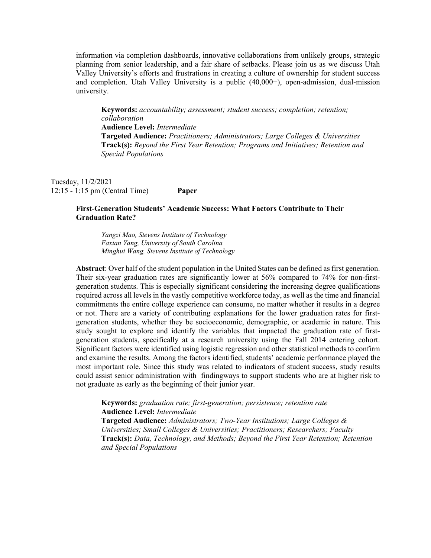information via completion dashboards, innovative collaborations from unlikely groups, strategic planning from senior leadership, and a fair share of setbacks. Please join us as we discuss Utah Valley University's efforts and frustrations in creating a culture of ownership for student success and completion. Utah Valley University is a public (40,000+), open-admission, dual-mission university.

**Keywords:** *accountability; assessment; student success; completion; retention; collaboration*  **Audience Level:** *Intermediate* **Targeted Audience:** *Practitioners; Administrators; Large Colleges & Universities*  **Track(s):** *Beyond the First Year Retention; Programs and Initiatives; Retention and Special Populations*

Tuesday, 11/2/2021 12:15 - 1:15 pm (Central Time) **Paper** 

# **First-Generation Students' Academic Success: What Factors Contribute to Their Graduation Rate?**

*Yangzi Mao, Stevens Institute of Technology Faxian Yang, University of South Carolina Minghui Wang, Stevens Institute of Technology* 

**Abstract**: Over half of the student population in the United States can be defined as first generation. Their six-year graduation rates are significantly lower at 56% compared to 74% for non-firstgeneration students. This is especially significant considering the increasing degree qualifications required across all levels in the vastly competitive workforce today, as well as the time and financial commitments the entire college experience can consume, no matter whether it results in a degree or not. There are a variety of contributing explanations for the lower graduation rates for firstgeneration students, whether they be socioeconomic, demographic, or academic in nature. This study sought to explore and identify the variables that impacted the graduation rate of firstgeneration students, specifically at a research university using the Fall 2014 entering cohort. Significant factors were identified using logistic regression and other statistical methods to confirm and examine the results. Among the factors identified, students' academic performance played the most important role. Since this study was related to indicators of student success, study results could assist senior administration with findingways to support students who are at higher risk to not graduate as early as the beginning of their junior year.

**Keywords:** *graduation rate; first-generation; persistence; retention rate*  **Audience Level:** *Intermediate* **Targeted Audience:** *Administrators; Two-Year Institutions; Large Colleges & Universities; Small Colleges & Universities; Practitioners; Researchers; Faculty*  **Track(s):** *Data, Technology, and Methods; Beyond the First Year Retention; Retention and Special Populations*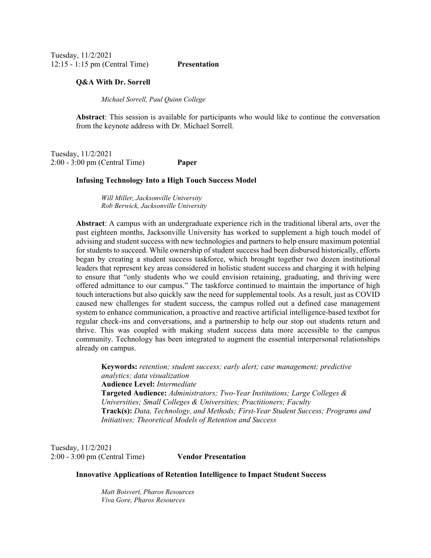Tuesday, 11/2/2021 12:15 - 1:15 pm (Central Time) **Presentation** 

#### **Q&A With Dr. Sorrell**

*Michael Sorrell, Paul Quinn College* 

**Abstract**: This session is available for participants who would like to continue the conversation from the keynote address with Dr. Michael Sorrell.

Tuesday, 11/2/2021 2:00 - 3:00 pm (Central Time) **Paper** 

### **Infusing Technology Into a High Touch Success Model**

*Will Miller, Jacksonville University Rob Berwick, Jacksonville University* 

**Abstract**: A campus with an undergraduate experience rich in the traditional liberal arts, over the past eighteen months, Jacksonville University has worked to supplement a high touch model of advising and student success with new technologies and partners to help ensure maximum potential for students to succeed. While ownership of student success had been disbursed historically, efforts began by creating a student success taskforce, which brought together two dozen institutional leaders that represent key areas considered in holistic student success and charging it with helping to ensure that "only students who we could envision retaining, graduating, and thriving were offered admittance to our campus." The taskforce continued to maintain the importance of high touch interactions but also quickly saw the need for supplemental tools. As a result, just as COVID caused new challenges for student success, the campus rolled out a defined case management system to enhance communication, a proactive and reactive artificial intelligence-based textbot for regular check-ins and conversations, and a partnership to help our stop out students return and thrive. This was coupled with making student success data more accessible to the campus community. Technology has been integrated to augment the essential interpersonal relationships already on campus.

**Keywords:** *retention; student success; early alert; case management; predictive analytics; data visualization*  **Audience Level:** *Intermediate* **Targeted Audience:** *Administrators; Two-Year Institutions; Large Colleges & Universities; Small Colleges & Universities; Practitioners; Faculty*  **Track(s):** *Data, Technology, and Methods; First-Year Student Success; Programs and Initiatives; Theoretical Models of Retention and Success*

Tuesday, 11/2/2021 2:00 - 3:00 pm (Central Time) **Vendor Presentation** 

**Innovative Applications of Retention Intelligence to Impact Student Success** 

*Matt Boisvert, Pharos Resources Viva Gore, Pharos Resources*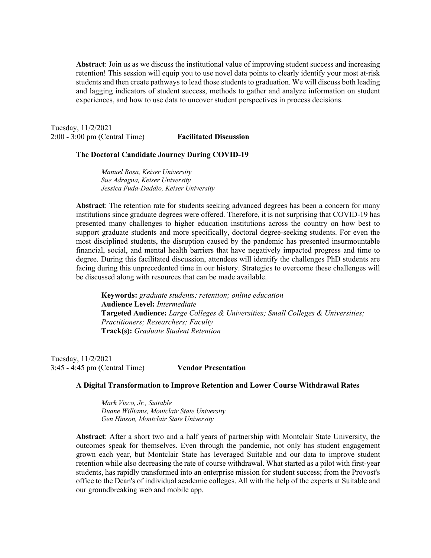**Abstract**: Join us as we discuss the institutional value of improving student success and increasing retention! This session will equip you to use novel data points to clearly identify your most at-risk students and then create pathways to lead those students to graduation. We will discuss both leading and lagging indicators of student success, methods to gather and analyze information on student experiences, and how to use data to uncover student perspectives in process decisions.

Tuesday, 11/2/2021 2:00 - 3:00 pm (Central Time) **Facilitated Discussion** 

#### **The Doctoral Candidate Journey During COVID-19**

*Manuel Rosa, Keiser University Sue Adragna, Keiser University Jessica Fuda-Daddio, Keiser University* 

**Abstract**: The retention rate for students seeking advanced degrees has been a concern for many institutions since graduate degrees were offered. Therefore, it is not surprising that COVID-19 has presented many challenges to higher education institutions across the country on how best to support graduate students and more specifically, doctoral degree-seeking students. For even the most disciplined students, the disruption caused by the pandemic has presented insurmountable financial, social, and mental health barriers that have negatively impacted progress and time to degree. During this facilitated discussion, attendees will identify the challenges PhD students are facing during this unprecedented time in our history. Strategies to overcome these challenges will be discussed along with resources that can be made available.

**Keywords:** *graduate students; retention; online education*  **Audience Level:** *Intermediate* **Targeted Audience:** *Large Colleges & Universities; Small Colleges & Universities; Practitioners; Researchers; Faculty*  **Track(s):** *Graduate Student Retention*

Tuesday, 11/2/2021 3:45 - 4:45 pm (Central Time) **Vendor Presentation** 

### **A Digital Transformation to Improve Retention and Lower Course Withdrawal Rates**

*Mark Visco, Jr., Suitable Duane Williams, Montclair State University Gen Hinson, Montclair State University* 

**Abstract**: After a short two and a half years of partnership with Montclair State University, the outcomes speak for themselves. Even through the pandemic, not only has student engagement grown each year, but Montclair State has leveraged Suitable and our data to improve student retention while also decreasing the rate of course withdrawal. What started as a pilot with first-year students, has rapidly transformed into an enterprise mission for student success; from the Provost's office to the Dean's of individual academic colleges. All with the help of the experts at Suitable and our groundbreaking web and mobile app.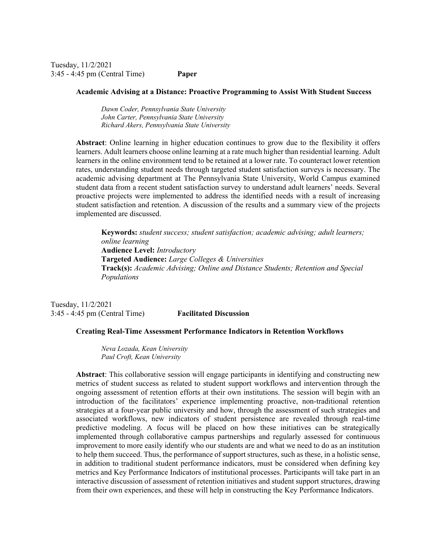Tuesday, 11/2/2021 3:45 - 4:45 pm (Central Time) **Paper** 

#### **Academic Advising at a Distance: Proactive Programming to Assist With Student Success**

*Dawn Coder, Pennsylvania State University John Carter, Pennsylvania State University Richard Akers, Pennsylvania State University* 

**Abstract**: Online learning in higher education continues to grow due to the flexibility it offers learners. Adult learners choose online learning at a rate much higher than residential learning. Adult learners in the online environment tend to be retained at a lower rate. To counteract lower retention rates, understanding student needs through targeted student satisfaction surveys is necessary. The academic advising department at The Pennsylvania State University, World Campus examined student data from a recent student satisfaction survey to understand adult learners' needs. Several proactive projects were implemented to address the identified needs with a result of increasing student satisfaction and retention. A discussion of the results and a summary view of the projects implemented are discussed.

**Keywords:** *student success; student satisfaction; academic advising; adult learners; online learning*  **Audience Level:** *Introductory* **Targeted Audience:** *Large Colleges & Universities*  **Track(s):** *Academic Advising; Online and Distance Students; Retention and Special Populations*

Tuesday, 11/2/2021 3:45 - 4:45 pm (Central Time) **Facilitated Discussion** 

#### **Creating Real-Time Assessment Performance Indicators in Retention Workflows**

*Neva Lozada, Kean University Paul Croft, Kean University* 

**Abstract**: This collaborative session will engage participants in identifying and constructing new metrics of student success as related to student support workflows and intervention through the ongoing assessment of retention efforts at their own institutions. The session will begin with an introduction of the facilitators' experience implementing proactive, non-traditional retention strategies at a four-year public university and how, through the assessment of such strategies and associated workflows, new indicators of student persistence are revealed through real-time predictive modeling. A focus will be placed on how these initiatives can be strategically implemented through collaborative campus partnerships and regularly assessed for continuous improvement to more easily identify who our students are and what we need to do as an institution to help them succeed. Thus, the performance of support structures, such as these, in a holistic sense, in addition to traditional student performance indicators, must be considered when defining key metrics and Key Performance Indicators of institutional processes. Participants will take part in an interactive discussion of assessment of retention initiatives and student support structures, drawing from their own experiences, and these will help in constructing the Key Performance Indicators.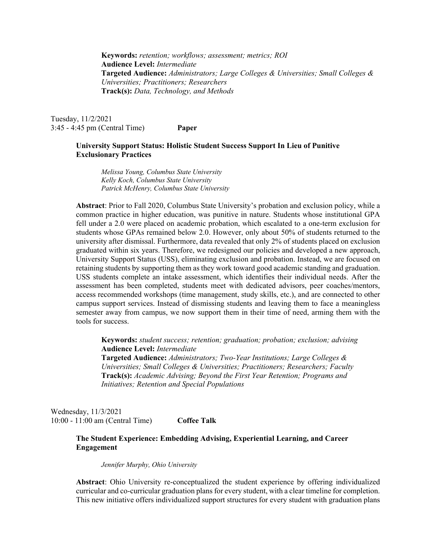**Keywords:** *retention; workflows; assessment; metrics; ROI*  **Audience Level:** *Intermediate* **Targeted Audience:** *Administrators; Large Colleges & Universities; Small Colleges & Universities; Practitioners; Researchers*  **Track(s):** *Data, Technology, and Methods*

Tuesday, 11/2/2021 3:45 - 4:45 pm (Central Time) **Paper** 

# **University Support Status: Holistic Student Success Support In Lieu of Punitive Exclusionary Practices**

*Melissa Young, Columbus State University Kelly Koch, Columbus State University Patrick McHenry, Columbus State University* 

**Abstract**: Prior to Fall 2020, Columbus State University's probation and exclusion policy, while a common practice in higher education, was punitive in nature. Students whose institutional GPA fell under a 2.0 were placed on academic probation, which escalated to a one-term exclusion for students whose GPAs remained below 2.0. However, only about 50% of students returned to the university after dismissal. Furthermore, data revealed that only 2% of students placed on exclusion graduated within six years. Therefore, we redesigned our policies and developed a new approach, University Support Status (USS), eliminating exclusion and probation. Instead, we are focused on retaining students by supporting them as they work toward good academic standing and graduation. USS students complete an intake assessment, which identifies their individual needs. After the assessment has been completed, students meet with dedicated advisors, peer coaches/mentors, access recommended workshops (time management, study skills, etc.), and are connected to other campus support services. Instead of dismissing students and leaving them to face a meaningless semester away from campus, we now support them in their time of need, arming them with the tools for success.

**Keywords:** *student success; retention; graduation; probation; exclusion; advising*  **Audience Level:** *Intermediate* **Targeted Audience:** *Administrators; Two-Year Institutions; Large Colleges & Universities; Small Colleges & Universities; Practitioners; Researchers; Faculty*  **Track(s):** *Academic Advising; Beyond the First Year Retention; Programs and Initiatives; Retention and Special Populations*

Wednesday, 11/3/2021 10:00 - 11:00 am (Central Time) **Coffee Talk** 

# **The Student Experience: Embedding Advising, Experiential Learning, and Career Engagement**

*Jennifer Murphy, Ohio University* 

**Abstract**: Ohio University re-conceptualized the student experience by offering individualized curricular and co-curricular graduation plans for every student, with a clear timeline for completion. This new initiative offers individualized support structures for every student with graduation plans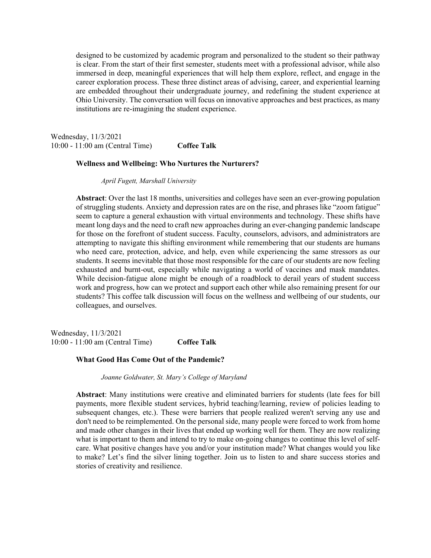designed to be customized by academic program and personalized to the student so their pathway is clear. From the start of their first semester, students meet with a professional advisor, while also immersed in deep, meaningful experiences that will help them explore, reflect, and engage in the career exploration process. These three distinct areas of advising, career, and experiential learning are embedded throughout their undergraduate journey, and redefining the student experience at Ohio University. The conversation will focus on innovative approaches and best practices, as many institutions are re-imagining the student experience.

Wednesday, 11/3/2021 10:00 - 11:00 am (Central Time) **Coffee Talk** 

### **Wellness and Wellbeing: Who Nurtures the Nurturers?**

*April Fugett, Marshall University* 

**Abstract**: Over the last 18 months, universities and colleges have seen an ever-growing population of struggling students. Anxiety and depression rates are on the rise, and phrases like "zoom fatigue" seem to capture a general exhaustion with virtual environments and technology. These shifts have meant long days and the need to craft new approaches during an ever-changing pandemic landscape for those on the forefront of student success. Faculty, counselors, advisors, and administrators are attempting to navigate this shifting environment while remembering that our students are humans who need care, protection, advice, and help, even while experiencing the same stressors as our students. It seems inevitable that those most responsible for the care of our students are now feeling exhausted and burnt-out, especially while navigating a world of vaccines and mask mandates. While decision-fatigue alone might be enough of a roadblock to derail years of student success work and progress, how can we protect and support each other while also remaining present for our students? This coffee talk discussion will focus on the wellness and wellbeing of our students, our colleagues, and ourselves.

Wednesday, 11/3/2021 10:00 - 11:00 am (Central Time) **Coffee Talk** 

# **What Good Has Come Out of the Pandemic?**

*Joanne Goldwater, St. Mary's College of Maryland* 

**Abstract**: Many institutions were creative and eliminated barriers for students (late fees for bill payments, more flexible student services, hybrid teaching/learning, review of policies leading to subsequent changes, etc.). These were barriers that people realized weren't serving any use and don't need to be reimplemented. On the personal side, many people were forced to work from home and made other changes in their lives that ended up working well for them. They are now realizing what is important to them and intend to try to make on-going changes to continue this level of selfcare. What positive changes have you and/or your institution made? What changes would you like to make? Let's find the silver lining together. Join us to listen to and share success stories and stories of creativity and resilience.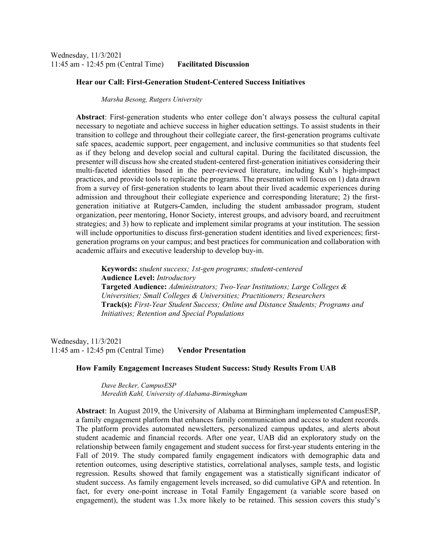### **Hear our Call: First-Generation Student-Centered Success Initiatives**

*Marsha Besong, Rutgers University* 

**Abstract**: First-generation students who enter college don't always possess the cultural capital necessary to negotiate and achieve success in higher education settings. To assist students in their transition to college and throughout their collegiate career, the first-generation programs cultivate safe spaces, academic support, peer engagement, and inclusive communities so that students feel as if they belong and develop social and cultural capital. During the facilitated discussion, the presenter will discuss how she created student-centered first-generation initiatives considering their multi-faceted identities based in the peer-reviewed literature, including Kuh's high-impact practices, and provide tools to replicate the programs. The presentation will focus on 1) data drawn from a survey of first-generation students to learn about their lived academic experiences during admission and throughout their collegiate experience and corresponding literature; 2) the firstgeneration initiative at Rutgers-Camden, including the student ambassador program, student organization, peer mentoring, Honor Society, interest groups, and advisory board, and recruitment strategies; and 3) how to replicate and implement similar programs at your institution. The session will include opportunities to discuss first-generation student identities and lived experiences; firstgeneration programs on your campus; and best practices for communication and collaboration with academic affairs and executive leadership to develop buy-in.

**Keywords:** *student success; 1st-gen programs; student-centered*  **Audience Level:** *Introductory* **Targeted Audience:** *Administrators; Two-Year Institutions; Large Colleges & Universities; Small Colleges & Universities; Practitioners; Researchers*  **Track(s):** *First-Year Student Success; Online and Distance Students; Programs and Initiatives; Retention and Special Populations*

Wednesday, 11/3/2021 11:45 am - 12:45 pm (Central Time) **Vendor Presentation** 

### **How Family Engagement Increases Student Success: Study Results From UAB**

*Dave Becker, CampusESP Meredith Kahl, University of Alabama-Birmingham* 

**Abstract**: In August 2019, the University of Alabama at Birmingham implemented CampusESP, a family engagement platform that enhances family communication and access to student records. The platform provides automated newsletters, personalized campus updates, and alerts about student academic and financial records. After one year, UAB did an exploratory study on the relationship between family engagement and student success for first-year students entering in the Fall of 2019. The study compared family engagement indicators with demographic data and retention outcomes, using descriptive statistics, correlational analyses, sample tests, and logistic regression. Results showed that family engagement was a statistically significant indicator of student success. As family engagement levels increased, so did cumulative GPA and retention. In fact, for every one-point increase in Total Family Engagement (a variable score based on engagement), the student was 1.3x more likely to be retained. This session covers this study's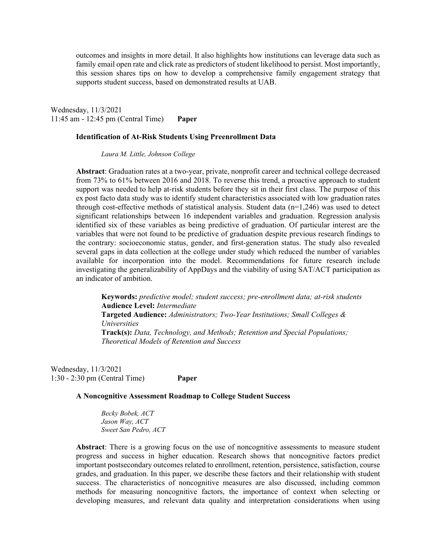outcomes and insights in more detail. It also highlights how institutions can leverage data such as family email open rate and click rate as predictors of student likelihood to persist. Most importantly, this session shares tips on how to develop a comprehensive family engagement strategy that supports student success, based on demonstrated results at UAB.

Wednesday, 11/3/2021 11:45 am - 12:45 pm (Central Time) **Paper** 

### **Identification of At-Risk Students Using Preenrollment Data**

*Laura M. Little, Johnson College* 

**Abstract**: Graduation rates at a two-year, private, nonprofit career and technical college decreased from 73% to 61% between 2016 and 2018. To reverse this trend, a proactive approach to student support was needed to help at-risk students before they sit in their first class. The purpose of this ex post facto data study was to identify student characteristics associated with low graduation rates through cost-effective methods of statistical analysis. Student data  $(n=1,246)$  was used to detect significant relationships between 16 independent variables and graduation. Regression analysis identified six of these variables as being predictive of graduation. Of particular interest are the variables that were not found to be predictive of graduation despite previous research findings to the contrary: socioeconomic status, gender, and first-generation status. The study also revealed several gaps in data collection at the college under study which reduced the number of variables available for incorporation into the model. Recommendations for future research include investigating the generalizability of AppDays and the viability of using SAT/ACT participation as an indicator of ambition.

**Keywords:** *predictive model; student success; pre-enrollment data; at-risk students*  **Audience Level:** *Intermediate* **Targeted Audience:** *Administrators; Two-Year Institutions; Small Colleges & Universities*  **Track(s):** *Data, Technology, and Methods; Retention and Special Populations; Theoretical Models of Retention and Success*

Wednesday, 11/3/2021 1:30 - 2:30 pm (Central Time) **Paper** 

### **A Noncognitive Assessment Roadmap to College Student Success**

*Becky Bobek, ACT Jason Way, ACT Sweet San Pedro, ACT* 

**Abstract**: There is a growing focus on the use of noncognitive assessments to measure student progress and success in higher education. Research shows that noncognitive factors predict important postsecondary outcomes related to enrollment, retention, persistence, satisfaction, course grades, and graduation. In this paper, we describe these factors and their relationship with student success. The characteristics of noncognitive measures are also discussed, including common methods for measuring noncognitive factors, the importance of context when selecting or developing measures, and relevant data quality and interpretation considerations when using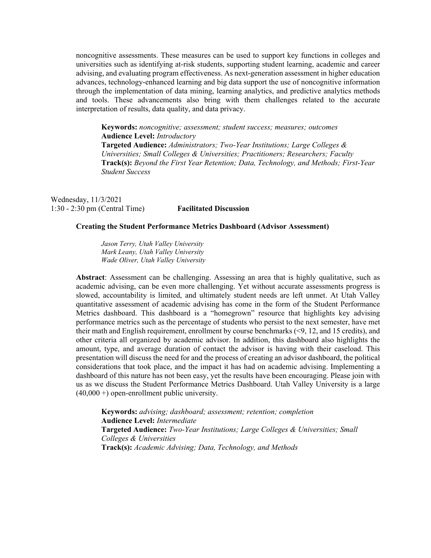noncognitive assessments. These measures can be used to support key functions in colleges and universities such as identifying at-risk students, supporting student learning, academic and career advising, and evaluating program effectiveness. As next-generation assessment in higher education advances, technology-enhanced learning and big data support the use of noncognitive information through the implementation of data mining, learning analytics, and predictive analytics methods and tools. These advancements also bring with them challenges related to the accurate interpretation of results, data quality, and data privacy.

**Keywords:** *noncognitive; assessment; student success; measures; outcomes*  **Audience Level:** *Introductory* **Targeted Audience:** *Administrators; Two-Year Institutions; Large Colleges & Universities; Small Colleges & Universities; Practitioners; Researchers; Faculty*  **Track(s):** *Beyond the First Year Retention; Data, Technology, and Methods; First-Year Student Success*

Wednesday, 11/3/2021 1:30 - 2:30 pm (Central Time) **Facilitated Discussion** 

### **Creating the Student Performance Metrics Dashboard (Advisor Assessment)**

*Jason Terry, Utah Valley University Mark Leany, Utah Valley University Wade Oliver, Utah Valley University* 

**Abstract**: Assessment can be challenging. Assessing an area that is highly qualitative, such as academic advising, can be even more challenging. Yet without accurate assessments progress is slowed, accountability is limited, and ultimately student needs are left unmet. At Utah Valley quantitative assessment of academic advising has come in the form of the Student Performance Metrics dashboard. This dashboard is a "homegrown" resource that highlights key advising performance metrics such as the percentage of students who persist to the next semester, have met their math and English requirement, enrollment by course benchmarks (<9, 12, and 15 credits), and other criteria all organized by academic advisor. In addition, this dashboard also highlights the amount, type, and average duration of contact the advisor is having with their caseload. This presentation will discuss the need for and the process of creating an advisor dashboard, the political considerations that took place, and the impact it has had on academic advising. Implementing a dashboard of this nature has not been easy, yet the results have been encouraging. Please join with us as we discuss the Student Performance Metrics Dashboard. Utah Valley University is a large  $(40,000+)$  open-enrollment public university.

**Keywords:** *advising; dashboard; assessment; retention; completion*  **Audience Level:** *Intermediate* **Targeted Audience:** *Two-Year Institutions; Large Colleges & Universities; Small Colleges & Universities*  **Track(s):** *Academic Advising; Data, Technology, and Methods*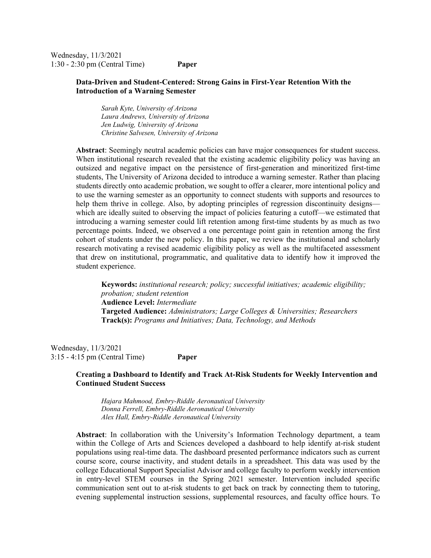Wednesday, 11/3/2021 1:30 - 2:30 pm (Central Time) **Paper** 

# **Data-Driven and Student-Centered: Strong Gains in First-Year Retention With the Introduction of a Warning Semester**

*Sarah Kyte, University of Arizona Laura Andrews, University of Arizona Jen Ludwig, University of Arizona Christine Salvesen, University of Arizona* 

**Abstract**: Seemingly neutral academic policies can have major consequences for student success. When institutional research revealed that the existing academic eligibility policy was having an outsized and negative impact on the persistence of first-generation and minoritized first-time students, The University of Arizona decided to introduce a warning semester. Rather than placing students directly onto academic probation, we sought to offer a clearer, more intentional policy and to use the warning semester as an opportunity to connect students with supports and resources to help them thrive in college. Also, by adopting principles of regression discontinuity designs which are ideally suited to observing the impact of policies featuring a cutoff—we estimated that introducing a warning semester could lift retention among first-time students by as much as two percentage points. Indeed, we observed a one percentage point gain in retention among the first cohort of students under the new policy. In this paper, we review the institutional and scholarly research motivating a revised academic eligibility policy as well as the multifaceted assessment that drew on institutional, programmatic, and qualitative data to identify how it improved the student experience.

**Keywords:** *institutional research; policy; successful initiatives; academic eligibility; probation; student retention*  **Audience Level:** *Intermediate* **Targeted Audience:** *Administrators; Large Colleges & Universities; Researchers*  **Track(s):** *Programs and Initiatives; Data, Technology, and Methods*

Wednesday, 11/3/2021 3:15 - 4:15 pm (Central Time) **Paper** 

# **Creating a Dashboard to Identify and Track At-Risk Students for Weekly Intervention and Continued Student Success**

*Hajara Mahmood, Embry-Riddle Aeronautical University Donna Ferrell, Embry-Riddle Aeronautical University Alex Hall, Embry-Riddle Aeronautical University* 

**Abstract**: In collaboration with the University's Information Technology department, a team within the College of Arts and Sciences developed a dashboard to help identify at-risk student populations using real-time data. The dashboard presented performance indicators such as current course score, course inactivity, and student details in a spreadsheet. This data was used by the college Educational Support Specialist Advisor and college faculty to perform weekly intervention in entry-level STEM courses in the Spring 2021 semester. Intervention included specific communication sent out to at-risk students to get back on track by connecting them to tutoring, evening supplemental instruction sessions, supplemental resources, and faculty office hours. To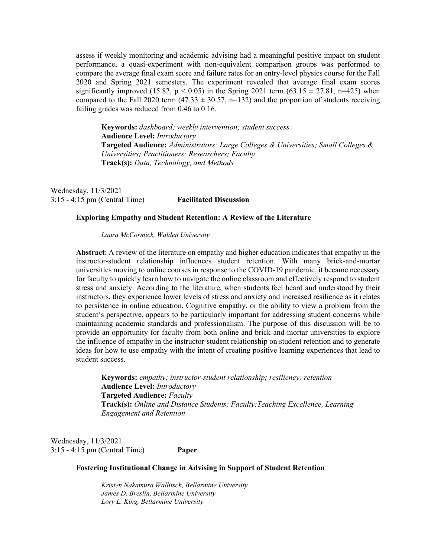assess if weekly monitoring and academic advising had a meaningful positive impact on student performance, a quasi-experiment with non-equivalent comparison groups was performed to compare the average final exam score and failure rates for an entry-level physics course for the Fall 2020 and Spring 2021 semesters. The experiment revealed that average final exam scores significantly improved (15.82,  $p < 0.05$ ) in the Spring 2021 term (63.15  $\pm$  27.81, n=425) when compared to the Fall 2020 term (47.33  $\pm$  30.57, n=132) and the proportion of students receiving failing grades was reduced from 0.46 to 0.16.

**Keywords:** *dashboard; weekly intervention; student success*  **Audience Level:** *Introductory* **Targeted Audience:** *Administrators; Large Colleges & Universities; Small Colleges & Universities; Practitioners; Researchers; Faculty*  **Track(s):** *Data, Technology, and Methods*

Wednesday, 11/3/2021 3:15 - 4:15 pm (Central Time) **Facilitated Discussion** 

### **Exploring Empathy and Student Retention: A Review of the Literature**

*Laura McCormick, Walden University* 

**Abstract**: A review of the literature on empathy and higher education indicates that empathy in the instructor-student relationship influences student retention. With many brick-and-mortar universities moving to online courses in response to the COVID-19 pandemic, it became necessary for faculty to quickly learn how to navigate the online classroom and effectively respond to student stress and anxiety. According to the literature, when students feel heard and understood by their instructors, they experience lower levels of stress and anxiety and increased resilience as it relates to persistence in online education. Cognitive empathy, or the ability to view a problem from the student's perspective, appears to be particularly important for addressing student concerns while maintaining academic standards and professionalism. The purpose of this discussion will be to provide an opportunity for faculty from both online and brick-and-mortar universities to explore the influence of empathy in the instructor-student relationship on student retention and to generate ideas for how to use empathy with the intent of creating positive learning experiences that lead to student success.

**Keywords:** *empathy; instructor-student relationship; resiliency; retention*  **Audience Level:** *Introductory* **Targeted Audience:** *Faculty*  **Track(s):** *Online and Distance Students; Faculty:Teaching Excellence, Learning Engagement and Retention*

Wednesday, 11/3/2021 3:15 - 4:15 pm (Central Time) **Paper** 

### **Fostering Institutional Change in Advising in Support of Student Retention**

*Kristen Nakamura Wallitsch, Bellarmine University James D. Breslin, Bellarmine University Lory L. King, Bellarmine University*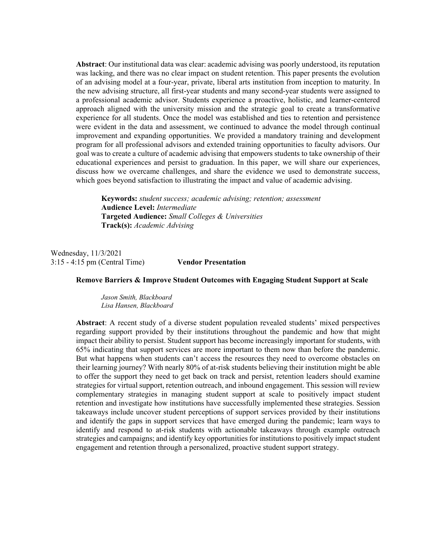**Abstract**: Our institutional data was clear: academic advising was poorly understood, its reputation was lacking, and there was no clear impact on student retention. This paper presents the evolution of an advising model at a four-year, private, liberal arts institution from inception to maturity. In the new advising structure, all first-year students and many second-year students were assigned to a professional academic advisor. Students experience a proactive, holistic, and learner-centered approach aligned with the university mission and the strategic goal to create a transformative experience for all students. Once the model was established and ties to retention and persistence were evident in the data and assessment, we continued to advance the model through continual improvement and expanding opportunities. We provided a mandatory training and development program for all professional advisors and extended training opportunities to faculty advisors. Our goal was to create a culture of academic advising that empowers students to take ownership of their educational experiences and persist to graduation. In this paper, we will share our experiences, discuss how we overcame challenges, and share the evidence we used to demonstrate success, which goes beyond satisfaction to illustrating the impact and value of academic advising.

**Keywords:** *student success; academic advising; retention; assessment*  **Audience Level:** *Intermediate* **Targeted Audience:** *Small Colleges & Universities*  **Track(s):** *Academic Advising*

Wednesday, 11/3/2021 3:15 - 4:15 pm (Central Time) **Vendor Presentation** 

# **Remove Barriers & Improve Student Outcomes with Engaging Student Support at Scale**

*Jason Smith, Blackboard Lisa Hansen, Blackboard* 

**Abstract**: A recent study of a diverse student population revealed students' mixed perspectives regarding support provided by their institutions throughout the pandemic and how that might impact their ability to persist. Student support has become increasingly important for students, with 65% indicating that support services are more important to them now than before the pandemic. But what happens when students can't access the resources they need to overcome obstacles on their learning journey? With nearly 80% of at-risk students believing their institution might be able to offer the support they need to get back on track and persist, retention leaders should examine strategies for virtual support, retention outreach, and inbound engagement. This session will review complementary strategies in managing student support at scale to positively impact student retention and investigate how institutions have successfully implemented these strategies. Session takeaways include uncover student perceptions of support services provided by their institutions and identify the gaps in support services that have emerged during the pandemic; learn ways to identify and respond to at-risk students with actionable takeaways through example outreach strategies and campaigns; and identify key opportunities for institutions to positively impact student engagement and retention through a personalized, proactive student support strategy.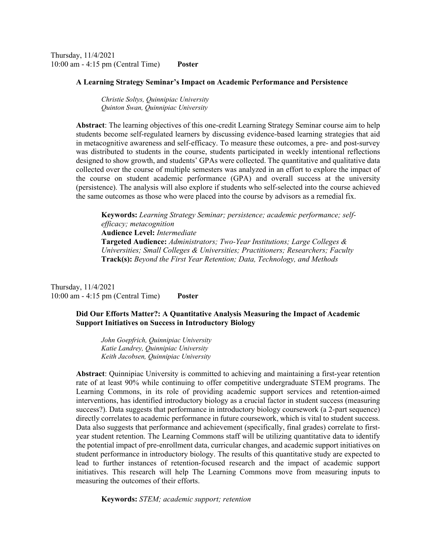Thursday, 11/4/2021 10:00 am - 4:15 pm (Central Time) **Poster** 

#### **A Learning Strategy Seminar's Impact on Academic Performance and Persistence**

*Christie Soltys, Quinnipiac University Quinton Swan, Quinnipiac University* 

**Abstract**: The learning objectives of this one-credit Learning Strategy Seminar course aim to help students become self-regulated learners by discussing evidence-based learning strategies that aid in metacognitive awareness and self-efficacy. To measure these outcomes, a pre- and post-survey was distributed to students in the course, students participated in weekly intentional reflections designed to show growth, and students' GPAs were collected. The quantitative and qualitative data collected over the course of multiple semesters was analyzed in an effort to explore the impact of the course on student academic performance (GPA) and overall success at the university (persistence). The analysis will also explore if students who self-selected into the course achieved the same outcomes as those who were placed into the course by advisors as a remedial fix.

**Keywords:** *Learning Strategy Seminar; persistence; academic performance; selfefficacy; metacognition*  **Audience Level:** *Intermediate* **Targeted Audience:** *Administrators; Two-Year Institutions; Large Colleges & Universities; Small Colleges & Universities; Practitioners; Researchers; Faculty*  **Track(s):** *Beyond the First Year Retention; Data, Technology, and Methods*

Thursday, 11/4/2021 10:00 am - 4:15 pm (Central Time) **Poster** 

# **Did Our Efforts Matter?: A Quantitative Analysis Measuring the Impact of Academic Support Initiatives on Success in Introductory Biology**

*John Goepfrich, Quinnipiac University Katie Landrey, Quinnipiac University Keith Jacobsen, Quinnipiac University* 

**Abstract**: Quinnipiac University is committed to achieving and maintaining a first-year retention rate of at least 90% while continuing to offer competitive undergraduate STEM programs. The Learning Commons, in its role of providing academic support services and retention-aimed interventions, has identified introductory biology as a crucial factor in student success (measuring success?). Data suggests that performance in introductory biology coursework (a 2-part sequence) directly correlates to academic performance in future coursework, which is vital to student success. Data also suggests that performance and achievement (specifically, final grades) correlate to firstyear student retention. The Learning Commons staff will be utilizing quantitative data to identify the potential impact of pre-enrollment data, curricular changes, and academic support initiatives on student performance in introductory biology. The results of this quantitative study are expected to lead to further instances of retention-focused research and the impact of academic support initiatives. This research will help The Learning Commons move from measuring inputs to measuring the outcomes of their efforts.

**Keywords:** *STEM; academic support; retention*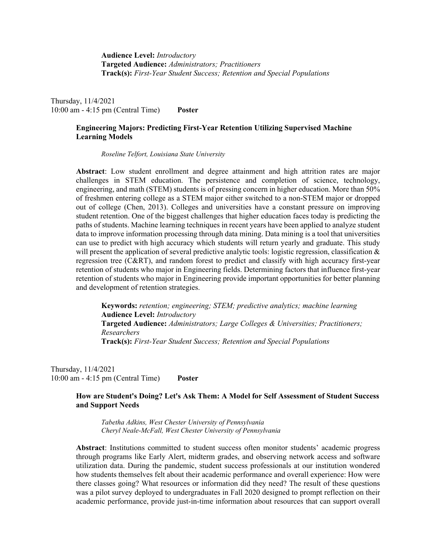**Audience Level:** *Introductory* **Targeted Audience:** *Administrators; Practitioners*  **Track(s):** *First-Year Student Success; Retention and Special Populations*

Thursday, 11/4/2021 10:00 am - 4:15 pm (Central Time) **Poster** 

# **Engineering Majors: Predicting First-Year Retention Utilizing Supervised Machine Learning Models**

*Roseline Telfort, Louisiana State University* 

**Abstract**: Low student enrollment and degree attainment and high attrition rates are major challenges in STEM education. The persistence and completion of science, technology, engineering, and math (STEM) students is of pressing concern in higher education. More than 50% of freshmen entering college as a STEM major either switched to a non-STEM major or dropped out of college (Chen, 2013). Colleges and universities have a constant pressure on improving student retention. One of the biggest challenges that higher education faces today is predicting the paths of students. Machine learning techniques in recent years have been applied to analyze student data to improve information processing through data mining. Data mining is a tool that universities can use to predict with high accuracy which students will return yearly and graduate. This study will present the application of several predictive analytic tools: logistic regression, classification  $\&$ regression tree (C&RT), and random forest to predict and classify with high accuracy first-year retention of students who major in Engineering fields. Determining factors that influence first-year retention of students who major in Engineering provide important opportunities for better planning and development of retention strategies.

**Keywords:** *retention; engineering; STEM; predictive analytics; machine learning*  **Audience Level:** *Introductory* **Targeted Audience:** *Administrators; Large Colleges & Universities; Practitioners; Researchers*  **Track(s):** *First-Year Student Success; Retention and Special Populations*

Thursday, 11/4/2021 10:00 am - 4:15 pm (Central Time) **Poster** 

# **How are Student's Doing? Let's Ask Them: A Model for Self Assessment of Student Success and Support Needs**

*Tabetha Adkins, West Chester University of Pennsylvania Cheryl Neale-McFall, West Chester University of Pennsylvania* 

**Abstract**: Institutions committed to student success often monitor students' academic progress through programs like Early Alert, midterm grades, and observing network access and software utilization data. During the pandemic, student success professionals at our institution wondered how students themselves felt about their academic performance and overall experience: How were there classes going? What resources or information did they need? The result of these questions was a pilot survey deployed to undergraduates in Fall 2020 designed to prompt reflection on their academic performance, provide just-in-time information about resources that can support overall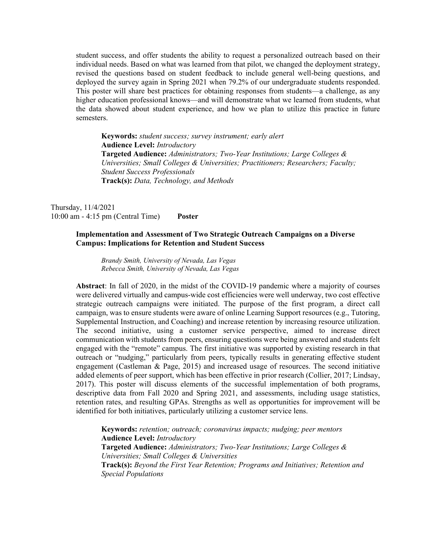student success, and offer students the ability to request a personalized outreach based on their individual needs. Based on what was learned from that pilot, we changed the deployment strategy, revised the questions based on student feedback to include general well-being questions, and deployed the survey again in Spring 2021 when 79.2% of our undergraduate students responded. This poster will share best practices for obtaining responses from students—a challenge, as any higher education professional knows—and will demonstrate what we learned from students, what the data showed about student experience, and how we plan to utilize this practice in future semesters.

**Keywords:** *student success; survey instrument; early alert*  **Audience Level:** *Introductory* **Targeted Audience:** *Administrators; Two-Year Institutions; Large Colleges & Universities; Small Colleges & Universities; Practitioners; Researchers; Faculty; Student Success Professionals*  **Track(s):** *Data, Technology, and Methods* 

Thursday, 11/4/2021 10:00 am - 4:15 pm (Central Time) **Poster** 

# **Implementation and Assessment of Two Strategic Outreach Campaigns on a Diverse Campus: Implications for Retention and Student Success**

*Brandy Smith, University of Nevada, Las Vegas Rebecca Smith, University of Nevada, Las Vegas* 

**Abstract**: In fall of 2020, in the midst of the COVID-19 pandemic where a majority of courses were delivered virtually and campus-wide cost efficiencies were well underway, two cost effective strategic outreach campaigns were initiated. The purpose of the first program, a direct call campaign, was to ensure students were aware of online Learning Support resources (e.g., Tutoring, Supplemental Instruction, and Coaching) and increase retention by increasing resource utilization. The second initiative, using a customer service perspective, aimed to increase direct communication with students from peers, ensuring questions were being answered and students felt engaged with the "remote" campus. The first initiative was supported by existing research in that outreach or "nudging," particularly from peers, typically results in generating effective student engagement (Castleman & Page, 2015) and increased usage of resources. The second initiative added elements of peer support, which has been effective in prior research (Collier, 2017; Lindsay, 2017). This poster will discuss elements of the successful implementation of both programs, descriptive data from Fall 2020 and Spring 2021, and assessments, including usage statistics, retention rates, and resulting GPAs. Strengths as well as opportunities for improvement will be identified for both initiatives, particularly utilizing a customer service lens.

**Keywords:** *retention; outreach; coronavirus impacts; nudging; peer mentors*  **Audience Level:** *Introductory* **Targeted Audience:** *Administrators; Two-Year Institutions; Large Colleges & Universities; Small Colleges & Universities*  **Track(s):** *Beyond the First Year Retention; Programs and Initiatives; Retention and Special Populations*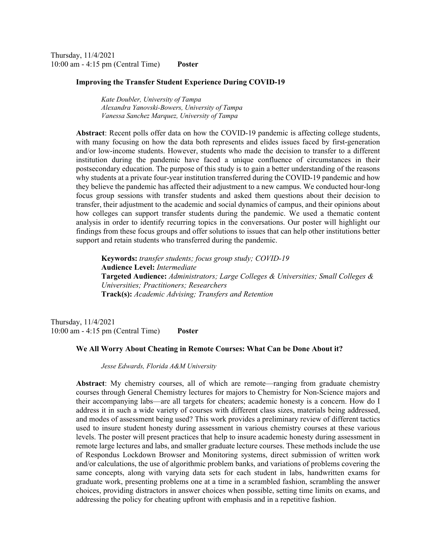Thursday, 11/4/2021 10:00 am - 4:15 pm (Central Time) **Poster** 

#### **Improving the Transfer Student Experience During COVID-19**

*Kate Doubler, University of Tampa Alexandra Yanovski-Bowers, University of Tampa Vanessa Sanchez Marquez, University of Tampa* 

**Abstract**: Recent polls offer data on how the COVID-19 pandemic is affecting college students, with many focusing on how the data both represents and elides issues faced by first-generation and/or low-income students. However, students who made the decision to transfer to a different institution during the pandemic have faced a unique confluence of circumstances in their postsecondary education. The purpose of this study is to gain a better understanding of the reasons why students at a private four-year institution transferred during the COVID-19 pandemic and how they believe the pandemic has affected their adjustment to a new campus. We conducted hour-long focus group sessions with transfer students and asked them questions about their decision to transfer, their adjustment to the academic and social dynamics of campus, and their opinions about how colleges can support transfer students during the pandemic. We used a thematic content analysis in order to identify recurring topics in the conversations. Our poster will highlight our findings from these focus groups and offer solutions to issues that can help other institutions better support and retain students who transferred during the pandemic.

**Keywords:** *transfer students; focus group study; COVID-19*  **Audience Level:** *Intermediate* **Targeted Audience:** *Administrators; Large Colleges & Universities; Small Colleges & Universities; Practitioners; Researchers*  **Track(s):** *Academic Advising; Transfers and Retention*

Thursday, 11/4/2021 10:00 am - 4:15 pm (Central Time) **Poster** 

# **We All Worry About Cheating in Remote Courses: What Can be Done About it?**

*Jesse Edwards, Florida A&M University* 

**Abstract**: My chemistry courses, all of which are remote—ranging from graduate chemistry courses through General Chemistry lectures for majors to Chemistry for Non-Science majors and their accompanying labs—are all targets for cheaters; academic honesty is a concern. How do I address it in such a wide variety of courses with different class sizes, materials being addressed, and modes of assessment being used? This work provides a preliminary review of different tactics used to insure student honesty during assessment in various chemistry courses at these various levels. The poster will present practices that help to insure academic honesty during assessment in remote large lectures and labs, and smaller graduate lecture courses. These methods include the use of Respondus Lockdown Browser and Monitoring systems, direct submission of written work and/or calculations, the use of algorithmic problem banks, and variations of problems covering the same concepts, along with varying data sets for each student in labs, handwritten exams for graduate work, presenting problems one at a time in a scrambled fashion, scrambling the answer choices, providing distractors in answer choices when possible, setting time limits on exams, and addressing the policy for cheating upfront with emphasis and in a repetitive fashion.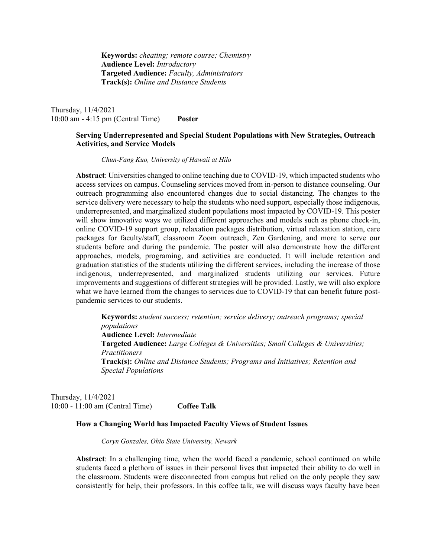**Keywords:** *cheating; remote course; Chemistry*  **Audience Level:** *Introductory* **Targeted Audience:** *Faculty, Administrators*  **Track(s):** *Online and Distance Students*

Thursday, 11/4/2021 10:00 am - 4:15 pm (Central Time) **Poster** 

# **Serving Underrepresented and Special Student Populations with New Strategies, Outreach Activities, and Service Models**

*Chun-Fang Kuo, University of Hawaii at Hilo* 

**Abstract**: Universities changed to online teaching due to COVID-19, which impacted students who access services on campus. Counseling services moved from in-person to distance counseling. Our outreach programming also encountered changes due to social distancing. The changes to the service delivery were necessary to help the students who need support, especially those indigenous, underrepresented, and marginalized student populations most impacted by COVID-19. This poster will show innovative ways we utilized different approaches and models such as phone check-in, online COVID-19 support group, relaxation packages distribution, virtual relaxation station, care packages for faculty/staff, classroom Zoom outreach, Zen Gardening, and more to serve our students before and during the pandemic. The poster will also demonstrate how the different approaches, models, programing, and activities are conducted. It will include retention and graduation statistics of the students utilizing the different services, including the increase of those indigenous, underrepresented, and marginalized students utilizing our services. Future improvements and suggestions of different strategies will be provided. Lastly, we will also explore what we have learned from the changes to services due to COVID-19 that can benefit future postpandemic services to our students.

**Keywords:** *student success; retention; service delivery; outreach programs; special populations*  **Audience Level:** *Intermediate* **Targeted Audience:** *Large Colleges & Universities; Small Colleges & Universities; Practitioners*  **Track(s):** *Online and Distance Students; Programs and Initiatives; Retention and Special Populations*

Thursday, 11/4/2021 10:00 - 11:00 am (Central Time) **Coffee Talk** 

### **How a Changing World has Impacted Faculty Views of Student Issues**

*Coryn Gonzales, Ohio State University, Newark* 

**Abstract**: In a challenging time, when the world faced a pandemic, school continued on while students faced a plethora of issues in their personal lives that impacted their ability to do well in the classroom. Students were disconnected from campus but relied on the only people they saw consistently for help, their professors. In this coffee talk, we will discuss ways faculty have been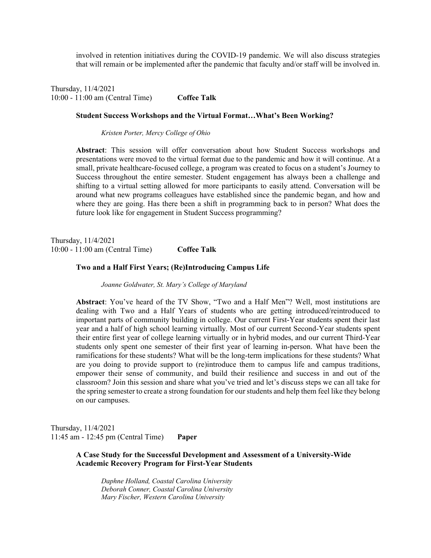involved in retention initiatives during the COVID-19 pandemic. We will also discuss strategies that will remain or be implemented after the pandemic that faculty and/or staff will be involved in.

Thursday, 11/4/2021 10:00 - 11:00 am (Central Time) **Coffee Talk** 

#### **Student Success Workshops and the Virtual Format…What's Been Working?**

*Kristen Porter, Mercy College of Ohio* 

**Abstract**: This session will offer conversation about how Student Success workshops and presentations were moved to the virtual format due to the pandemic and how it will continue. At a small, private healthcare-focused college, a program was created to focus on a student's Journey to Success throughout the entire semester. Student engagement has always been a challenge and shifting to a virtual setting allowed for more participants to easily attend. Conversation will be around what new programs colleagues have established since the pandemic began, and how and where they are going. Has there been a shift in programming back to in person? What does the future look like for engagement in Student Success programming?

Thursday, 11/4/2021 10:00 - 11:00 am (Central Time) **Coffee Talk** 

#### **Two and a Half First Years; (Re)Introducing Campus Life**

*Joanne Goldwater, St. Mary's College of Maryland* 

**Abstract**: You've heard of the TV Show, "Two and a Half Men"? Well, most institutions are dealing with Two and a Half Years of students who are getting introduced/reintroduced to important parts of community building in college. Our current First-Year students spent their last year and a half of high school learning virtually. Most of our current Second-Year students spent their entire first year of college learning virtually or in hybrid modes, and our current Third-Year students only spent one semester of their first year of learning in-person. What have been the ramifications for these students? What will be the long-term implications for these students? What are you doing to provide support to (re)introduce them to campus life and campus traditions, empower their sense of community, and build their resilience and success in and out of the classroom? Join this session and share what you've tried and let's discuss steps we can all take for the spring semester to create a strong foundation for our students and help them feel like they belong on our campuses.

Thursday, 11/4/2021 11:45 am - 12:45 pm (Central Time) **Paper** 

> **A Case Study for the Successful Development and Assessment of a University-Wide Academic Recovery Program for First-Year Students**

*Daphne Holland, Coastal Carolina University Deborah Conner, Coastal Carolina University Mary Fischer, Western Carolina University*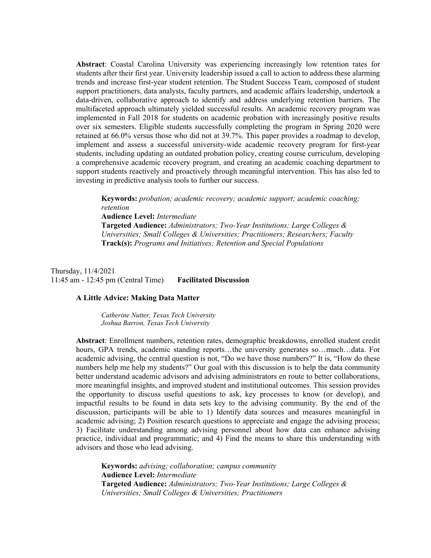**Abstract**: Coastal Carolina University was experiencing increasingly low retention rates for students after their first year. University leadership issued a call to action to address these alarming trends and increase first-year student retention. The Student Success Team, composed of student support practitioners, data analysts, faculty partners, and academic affairs leadership, undertook a data-driven, collaborative approach to identify and address underlying retention barriers. The multifaceted approach ultimately yielded successful results. An academic recovery program was implemented in Fall 2018 for students on academic probation with increasingly positive results over six semesters. Eligible students successfully completing the program in Spring 2020 were retained at 66.0% versus those who did not at 39.7%. This paper provides a roadmap to develop, implement and assess a successful university-wide academic recovery program for first-year students, including updating an outdated probation policy, creating course curriculum, developing a comprehensive academic recovery program, and creating an academic coaching department to support students reactively and proactively through meaningful intervention. This has also led to investing in predictive analysis tools to further our success.

**Keywords:** *probation; academic recovery; academic support; academic coaching; retention*  **Audience Level:** *Intermediate* **Targeted Audience:** *Administrators; Two-Year Institutions; Large Colleges & Universities; Small Colleges & Universities; Practitioners; Researchers; Faculty*  **Track(s):** *Programs and Initiatives; Retention and Special Populations*

Thursday, 11/4/2021 11:45 am - 12:45 pm (Central Time) **Facilitated Discussion** 

#### **A Little Advice: Making Data Matter**

*Catherine Nutter, Texas Tech University Joshua Barron, Texas Tech University* 

**Abstract**: Enrollment numbers, retention rates, demographic breakdowns, enrolled student credit hours, GPA trends, academic standing reports...the university generates so...much...data. For academic advising, the central question is not, "Do we have those numbers?" It is, "How do these numbers help me help my students?" Our goal with this discussion is to help the data community better understand academic advisors and advising administrators en route to better collaborations, more meaningful insights, and improved student and institutional outcomes. This session provides the opportunity to discuss useful questions to ask, key processes to know (or develop), and impactful results to be found in data sets key to the advising community. By the end of the discussion, participants will be able to 1) Identify data sources and measures meaningful in academic advising; 2) Position research questions to appreciate and engage the advising process; 3) Facilitate understanding among advising personnel about how data can enhance advising practice, individual and programmatic; and 4) Find the means to share this understanding with advisors and those who lead advising.

**Keywords:** *advising; collaboration; campus community*  **Audience Level:** *Intermediate* **Targeted Audience:** *Administrators; Two-Year Institutions; Large Colleges & Universities; Small Colleges & Universities; Practitioners*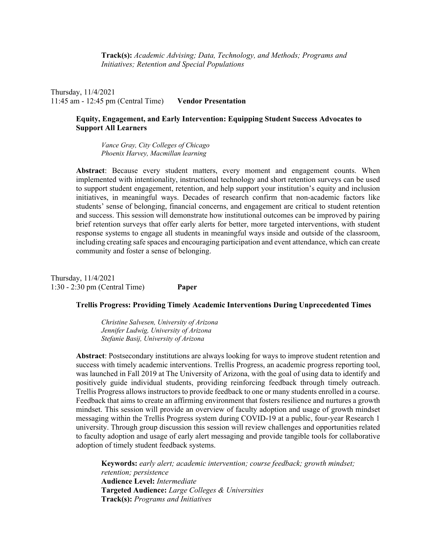**Track(s):** *Academic Advising; Data, Technology, and Methods; Programs and Initiatives; Retention and Special Populations*

Thursday, 11/4/2021 11:45 am - 12:45 pm (Central Time) **Vendor Presentation** 

### **Equity, Engagement, and Early Intervention: Equipping Student Success Advocates to Support All Learners**

*Vance Gray, City Colleges of Chicago Phoenix Harvey, Macmillan learning* 

**Abstract**: Because every student matters, every moment and engagement counts. When implemented with intentionality, instructional technology and short retention surveys can be used to support student engagement, retention, and help support your institution's equity and inclusion initiatives, in meaningful ways. Decades of research confirm that non-academic factors like students' sense of belonging, financial concerns, and engagement are critical to student retention and success. This session will demonstrate how institutional outcomes can be improved by pairing brief retention surveys that offer early alerts for better, more targeted interventions, with student response systems to engage all students in meaningful ways inside and outside of the classroom, including creating safe spaces and encouraging participation and event attendance, which can create community and foster a sense of belonging.

Thursday, 11/4/2021 1:30 - 2:30 pm (Central Time) **Paper** 

### **Trellis Progress: Providing Timely Academic Interventions During Unprecedented Times**

*Christine Salvesen, University of Arizona Jennifer Ludwig, University of Arizona Stefanie Basij, University of Arizona* 

**Abstract**: Postsecondary institutions are always looking for ways to improve student retention and success with timely academic interventions. Trellis Progress, an academic progress reporting tool, was launched in Fall 2019 at The University of Arizona, with the goal of using data to identify and positively guide individual students, providing reinforcing feedback through timely outreach. Trellis Progress allows instructors to provide feedback to one or many students enrolled in a course. Feedback that aims to create an affirming environment that fosters resilience and nurtures a growth mindset. This session will provide an overview of faculty adoption and usage of growth mindset messaging within the Trellis Progress system during COVID-19 at a public, four-year Research 1 university. Through group discussion this session will review challenges and opportunities related to faculty adoption and usage of early alert messaging and provide tangible tools for collaborative adoption of timely student feedback systems.

**Keywords:** *early alert; academic intervention; course feedback; growth mindset; retention; persistence*  **Audience Level:** *Intermediate* **Targeted Audience:** *Large Colleges & Universities*  **Track(s):** *Programs and Initiatives*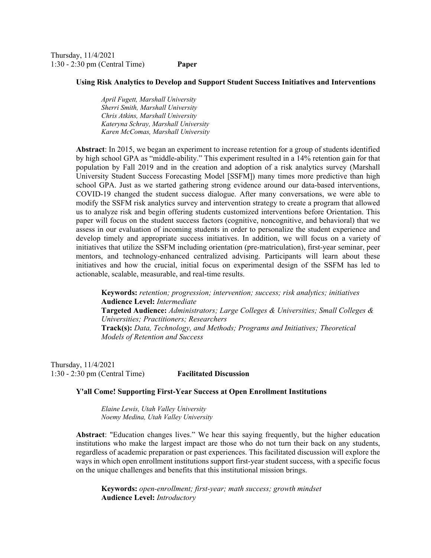Thursday, 11/4/2021 1:30 - 2:30 pm (Central Time) **Paper** 

#### **Using Risk Analytics to Develop and Support Student Success Initiatives and Interventions**

*April Fugett, Marshall University Sherri Smith, Marshall University Chris Atkins, Marshall University Kateryna Schray, Marshall University Karen McComas, Marshall University* 

**Abstract**: In 2015, we began an experiment to increase retention for a group of students identified by high school GPA as "middle-ability." This experiment resulted in a 14% retention gain for that population by Fall 2019 and in the creation and adoption of a risk analytics survey (Marshall University Student Success Forecasting Model [SSFM]) many times more predictive than high school GPA. Just as we started gathering strong evidence around our data-based interventions, COVID-19 changed the student success dialogue. After many conversations, we were able to modify the SSFM risk analytics survey and intervention strategy to create a program that allowed us to analyze risk and begin offering students customized interventions before Orientation. This paper will focus on the student success factors (cognitive, noncognitive, and behavioral) that we assess in our evaluation of incoming students in order to personalize the student experience and develop timely and appropriate success initiatives. In addition, we will focus on a variety of initiatives that utilize the SSFM including orientation (pre-matriculation), first-year seminar, peer mentors, and technology-enhanced centralized advising. Participants will learn about these initiatives and how the crucial, initial focus on experimental design of the SSFM has led to actionable, scalable, measurable, and real-time results.

**Keywords:** *retention; progression; intervention; success; risk analytics; initiatives*  **Audience Level:** *Intermediate* **Targeted Audience:** *Administrators; Large Colleges & Universities; Small Colleges & Universities; Practitioners; Researchers*  **Track(s):** *Data, Technology, and Methods; Programs and Initiatives; Theoretical Models of Retention and Success*

Thursday, 11/4/2021 1:30 - 2:30 pm (Central Time) **Facilitated Discussion** 

### **Y'all Come! Supporting First-Year Success at Open Enrollment Institutions**

*Elaine Lewis, Utah Valley University Noemy Medina, Utah Valley University* 

**Abstract**: "Education changes lives." We hear this saying frequently, but the higher education institutions who make the largest impact are those who do not turn their back on any students, regardless of academic preparation or past experiences. This facilitated discussion will explore the ways in which open enrollment institutions support first-year student success, with a specific focus on the unique challenges and benefits that this institutional mission brings.

**Keywords:** *open-enrollment; first-year; math success; growth mindset*  **Audience Level:** *Introductory*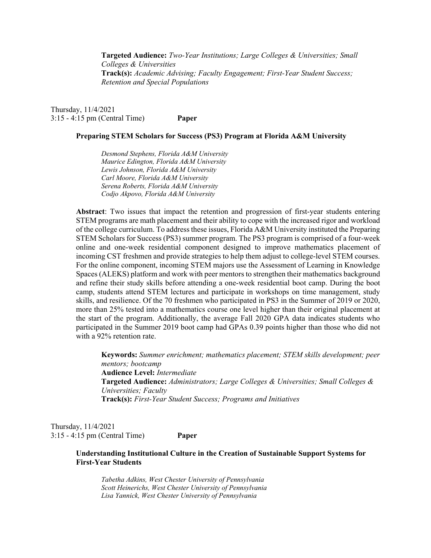**Targeted Audience:** *Two-Year Institutions; Large Colleges & Universities; Small Colleges & Universities*  **Track(s):** *Academic Advising; Faculty Engagement; First-Year Student Success; Retention and Special Populations*

Thursday, 11/4/2021 3:15 - 4:15 pm (Central Time) **Paper** 

#### **Preparing STEM Scholars for Success (PS3) Program at Florida A&M University**

*Desmond Stephens, Florida A&M University Maurice Edington, Florida A&M University Lewis Johnson, Florida A&M University Carl Moore, Florida A&M University Serena Roberts, Florida A&M University Codjo Akpovo, Florida A&M University* 

**Abstract**: Two issues that impact the retention and progression of first-year students entering STEM programs are math placement and their ability to cope with the increased rigor and workload of the college curriculum. To address these issues, Florida A&M University instituted the Preparing STEM Scholars for Success (PS3) summer program. The PS3 program is comprised of a four-week online and one-week residential component designed to improve mathematics placement of incoming CST freshmen and provide strategies to help them adjust to college-level STEM courses. For the online component, incoming STEM majors use the Assessment of Learning in Knowledge Spaces (ALEKS) platform and work with peer mentors to strengthen their mathematics background and refine their study skills before attending a one-week residential boot camp. During the boot camp, students attend STEM lectures and participate in workshops on time management, study skills, and resilience. Of the 70 freshmen who participated in PS3 in the Summer of 2019 or 2020, more than 25% tested into a mathematics course one level higher than their original placement at the start of the program. Additionally, the average Fall 2020 GPA data indicates students who participated in the Summer 2019 boot camp had GPAs 0.39 points higher than those who did not with a 92% retention rate.

**Keywords:** *Summer enrichment; mathematics placement; STEM skills development; peer mentors; bootcamp*  **Audience Level:** *Intermediate* **Targeted Audience:** *Administrators; Large Colleges & Universities; Small Colleges & Universities; Faculty*  **Track(s):** *First-Year Student Success; Programs and Initiatives*

Thursday, 11/4/2021 3:15 - 4:15 pm (Central Time) **Paper** 

> **Understanding Institutional Culture in the Creation of Sustainable Support Systems for First-Year Students**

*Tabetha Adkins, West Chester University of Pennsylvania Scott Heinerichs, West Chester University of Pennsylvania Lisa Yannick, West Chester University of Pennsylvania*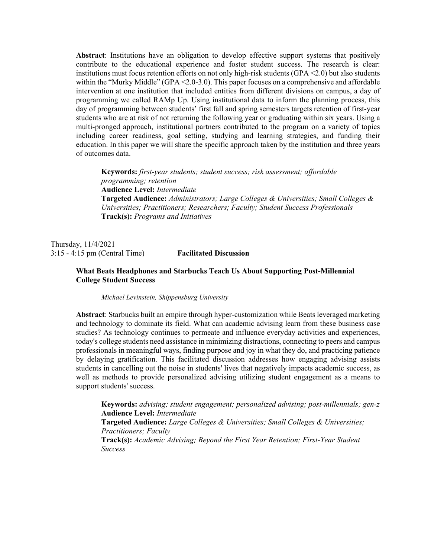**Abstract**: Institutions have an obligation to develop effective support systems that positively contribute to the educational experience and foster student success. The research is clear: institutions must focus retention efforts on not only high-risk students (GPA <2.0) but also students within the "Murky Middle" (GPA <2.0-3.0). This paper focuses on a comprehensive and affordable intervention at one institution that included entities from different divisions on campus, a day of programming we called RAMp Up. Using institutional data to inform the planning process, this day of programming between students' first fall and spring semesters targets retention of first-year students who are at risk of not returning the following year or graduating within six years. Using a multi-pronged approach, institutional partners contributed to the program on a variety of topics including career readiness, goal setting, studying and learning strategies, and funding their education. In this paper we will share the specific approach taken by the institution and three years of outcomes data.

**Keywords:** *first-year students; student success; risk assessment; affordable programming; retention*  **Audience Level:** *Intermediate* **Targeted Audience:** *Administrators; Large Colleges & Universities; Small Colleges & Universities; Practitioners; Researchers; Faculty; Student Success Professionals*  **Track(s):** *Programs and Initiatives*

Thursday, 11/4/2021 3:15 - 4:15 pm (Central Time) **Facilitated Discussion** 

# **What Beats Headphones and Starbucks Teach Us About Supporting Post-Millennial College Student Success**

*Michael Levinstein, Shippensburg University* 

**Abstract**: Starbucks built an empire through hyper-customization while Beats leveraged marketing and technology to dominate its field. What can academic advising learn from these business case studies? As technology continues to permeate and influence everyday activities and experiences, today's college students need assistance in minimizing distractions, connecting to peers and campus professionals in meaningful ways, finding purpose and joy in what they do, and practicing patience by delaying gratification. This facilitated discussion addresses how engaging advising assists students in cancelling out the noise in students' lives that negatively impacts academic success, as well as methods to provide personalized advising utilizing student engagement as a means to support students' success.

**Keywords:** *advising; student engagement; personalized advising; post-millennials; gen-z*  **Audience Level:** *Intermediate* **Targeted Audience:** *Large Colleges & Universities; Small Colleges & Universities; Practitioners; Faculty*  **Track(s):** *Academic Advising; Beyond the First Year Retention; First-Year Student Success*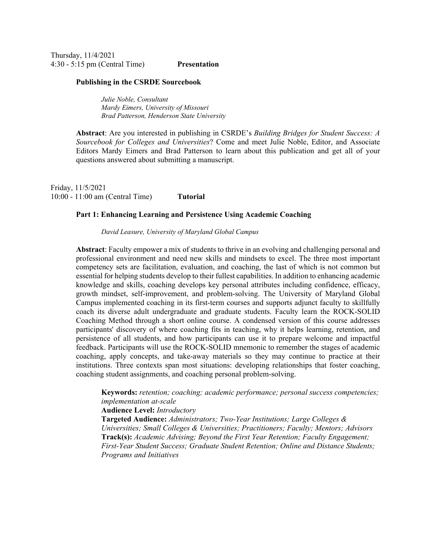Thursday, 11/4/2021 4:30 - 5:15 pm (Central Time) **Presentation** 

#### **Publishing in the CSRDE Sourcebook**

*Julie Noble, Consultant Mardy Eimers, University of Missouri Brad Patterson, Henderson State University* 

**Abstract**: Are you interested in publishing in CSRDE's *Building Bridges for Student Success: A Sourcebook for Colleges and Universities*? Come and meet Julie Noble, Editor, and Associate Editors Mardy Eimers and Brad Patterson to learn about this publication and get all of your questions answered about submitting a manuscript.

Friday, 11/5/2021 10:00 - 11:00 am (Central Time) **Tutorial** 

### **Part 1: Enhancing Learning and Persistence Using Academic Coaching**

*David Leasure, University of Maryland Global Campus* 

**Abstract**: Faculty empower a mix of students to thrive in an evolving and challenging personal and professional environment and need new skills and mindsets to excel. The three most important competency sets are facilitation, evaluation, and coaching, the last of which is not common but essential for helping students develop to their fullest capabilities. In addition to enhancing academic knowledge and skills, coaching develops key personal attributes including confidence, efficacy, growth mindset, self-improvement, and problem-solving. The University of Maryland Global Campus implemented coaching in its first-term courses and supports adjunct faculty to skillfully coach its diverse adult undergraduate and graduate students. Faculty learn the ROCK-SOLID Coaching Method through a short online course. A condensed version of this course addresses participants' discovery of where coaching fits in teaching, why it helps learning, retention, and persistence of all students, and how participants can use it to prepare welcome and impactful feedback. Participants will use the ROCK-SOLID mnemonic to remember the stages of academic coaching, apply concepts, and take-away materials so they may continue to practice at their institutions. Three contexts span most situations: developing relationships that foster coaching, coaching student assignments, and coaching personal problem-solving.

**Keywords:** *retention; coaching; academic performance; personal success competencies; implementation at-scale* 

**Audience Level:** *Introductory*

**Targeted Audience:** *Administrators; Two-Year Institutions; Large Colleges & Universities; Small Colleges & Universities; Practitioners; Faculty; Mentors; Advisors*  **Track(s):** *Academic Advising; Beyond the First Year Retention; Faculty Engagement; First-Year Student Success; Graduate Student Retention; Online and Distance Students; Programs and Initiatives*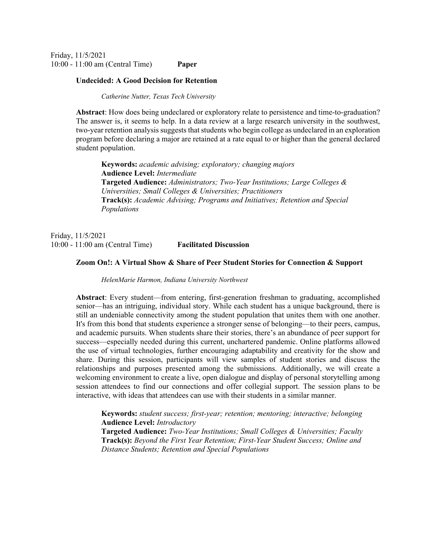Friday, 11/5/2021 10:00 - 11:00 am (Central Time) **Paper** 

#### **Undecided: A Good Decision for Retention**

*Catherine Nutter, Texas Tech University* 

**Abstract**: How does being undeclared or exploratory relate to persistence and time-to-graduation? The answer is, it seems to help. In a data review at a large research university in the southwest, two-year retention analysis suggests that students who begin college as undeclared in an exploration program before declaring a major are retained at a rate equal to or higher than the general declared student population.

**Keywords:** *academic advising; exploratory; changing majors*  **Audience Level:** *Intermediate* **Targeted Audience:** *Administrators; Two-Year Institutions; Large Colleges & Universities; Small Colleges & Universities; Practitioners*  **Track(s):** *Academic Advising; Programs and Initiatives; Retention and Special Populations*

Friday, 11/5/2021 10:00 - 11:00 am (Central Time) **Facilitated Discussion** 

#### **Zoom On!: A Virtual Show & Share of Peer Student Stories for Connection & Support**

*HelenMarie Harmon, Indiana University Northwest* 

**Abstract**: Every student—from entering, first-generation freshman to graduating, accomplished senior—has an intriguing, individual story. While each student has a unique background, there is still an undeniable connectivity among the student population that unites them with one another. It's from this bond that students experience a stronger sense of belonging—to their peers, campus, and academic pursuits. When students share their stories, there's an abundance of peer support for success—especially needed during this current, unchartered pandemic. Online platforms allowed the use of virtual technologies, further encouraging adaptability and creativity for the show and share. During this session, participants will view samples of student stories and discuss the relationships and purposes presented among the submissions. Additionally, we will create a welcoming environment to create a live, open dialogue and display of personal storytelling among session attendees to find our connections and offer collegial support. The session plans to be interactive, with ideas that attendees can use with their students in a similar manner.

**Keywords:** *student success; first-year; retention; mentoring; interactive; belonging*  **Audience Level:** *Introductory* **Targeted Audience:** *Two-Year Institutions; Small Colleges & Universities; Faculty*  **Track(s):** *Beyond the First Year Retention; First-Year Student Success; Online and Distance Students; Retention and Special Populations*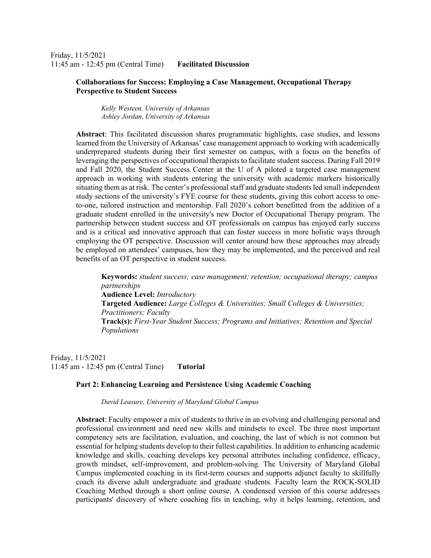Friday, 11/5/2021 11:45 am - 12:45 pm (Central Time) **Facilitated Discussion** 

### **Collaborations for Success: Employing a Case Management, Occupational Therapy Perspective to Student Success**

*Kelly Westeen, University of Arkansas Ashley Jordan, University of Arkansas* 

**Abstract**: This facilitated discussion shares programmatic highlights, case studies, and lessons learned from the University of Arkansas' case management approach to working with academically underprepared students during their first semester on campus, with a focus on the benefits of leveraging the perspectives of occupational therapists to facilitate student success. During Fall 2019 and Fall 2020, the Student Success Center at the U of A piloted a targeted case management approach in working with students entering the university with academic markers historically situating them as at risk. The center's professional staff and graduate students led small independent study sections of the university's FYE course for these students, giving this cohort access to oneto-one, tailored instruction and mentorship. Fall 2020's cohort benefitted from the addition of a graduate student enrolled in the university's new Doctor of Occupational Therapy program. The partnership between student success and OT professionals on campus has enjoyed early success and is a critical and innovative approach that can foster success in more holistic ways through employing the OT perspective. Discussion will center around how these approaches may already be employed on attendees' campuses, how they may be implemented, and the perceived and real benefits of an OT perspective in student success.

**Keywords:** *student success; case management; retention; occupational therapy; campus partnerships*  **Audience Level:** *Introductory* **Targeted Audience:** *Large Colleges & Universities; Small Colleges & Universities; Practitioners; Faculty*  **Track(s):** *First-Year Student Success; Programs and Initiatives; Retention and Special Populations*

Friday, 11/5/2021 11:45 am - 12:45 pm (Central Time) **Tutorial** 

### **Part 2: Enhancing Learning and Persistence Using Academic Coaching**

*David Leasure, University of Maryland Global Campus* 

**Abstract**: Faculty empower a mix of students to thrive in an evolving and challenging personal and professional environment and need new skills and mindsets to excel. The three most important competency sets are facilitation, evaluation, and coaching, the last of which is not common but essential for helping students develop to their fullest capabilities. In addition to enhancing academic knowledge and skills, coaching develops key personal attributes including confidence, efficacy, growth mindset, self-improvement, and problem-solving. The University of Maryland Global Campus implemented coaching in its first-term courses and supports adjunct faculty to skillfully coach its diverse adult undergraduate and graduate students. Faculty learn the ROCK-SOLID Coaching Method through a short online course. A condensed version of this course addresses participants' discovery of where coaching fits in teaching, why it helps learning, retention, and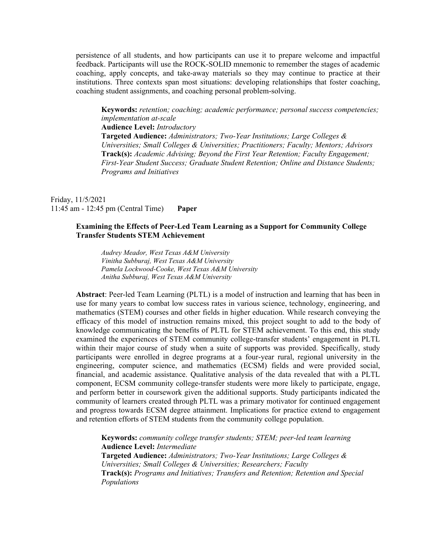persistence of all students, and how participants can use it to prepare welcome and impactful feedback. Participants will use the ROCK-SOLID mnemonic to remember the stages of academic coaching, apply concepts, and take-away materials so they may continue to practice at their institutions. Three contexts span most situations: developing relationships that foster coaching, coaching student assignments, and coaching personal problem-solving.

**Keywords:** *retention; coaching; academic performance; personal success competencies; implementation at-scale*  **Audience Level:** *Introductory* **Targeted Audience:** *Administrators; Two-Year Institutions; Large Colleges & Universities; Small Colleges & Universities; Practitioners; Faculty; Mentors; Advisors*  **Track(s):** *Academic Advising; Beyond the First Year Retention; Faculty Engagement; First-Year Student Success; Graduate Student Retention; Online and Distance Students; Programs and Initiatives*

Friday, 11/5/2021 11:45 am - 12:45 pm (Central Time) **Paper** 

# **Examining the Effects of Peer-Led Team Learning as a Support for Community College Transfer Students STEM Achievement**

*Audrey Meador, West Texas A&M University Vinitha Subburaj, West Texas A&M University Pamela Lockwood-Cooke, West Texas A&M University Anitha Subburaj, West Texas A&M University* 

**Abstract**: Peer-led Team Learning (PLTL) is a model of instruction and learning that has been in use for many years to combat low success rates in various science, technology, engineering, and mathematics (STEM) courses and other fields in higher education. While research conveying the efficacy of this model of instruction remains mixed, this project sought to add to the body of knowledge communicating the benefits of PLTL for STEM achievement. To this end, this study examined the experiences of STEM community college-transfer students' engagement in PLTL within their major course of study when a suite of supports was provided. Specifically, study participants were enrolled in degree programs at a four-year rural, regional university in the engineering, computer science, and mathematics (ECSM) fields and were provided social, financial, and academic assistance. Qualitative analysis of the data revealed that with a PLTL component, ECSM community college-transfer students were more likely to participate, engage, and perform better in coursework given the additional supports. Study participants indicated the community of learners created through PLTL was a primary motivator for continued engagement and progress towards ECSM degree attainment. Implications for practice extend to engagement and retention efforts of STEM students from the community college population.

**Keywords:** *community college transfer students; STEM; peer-led team learning*  **Audience Level:** *Intermediate* **Targeted Audience:** *Administrators; Two-Year Institutions; Large Colleges & Universities; Small Colleges & Universities; Researchers; Faculty*  **Track(s):** *Programs and Initiatives; Transfers and Retention; Retention and Special Populations*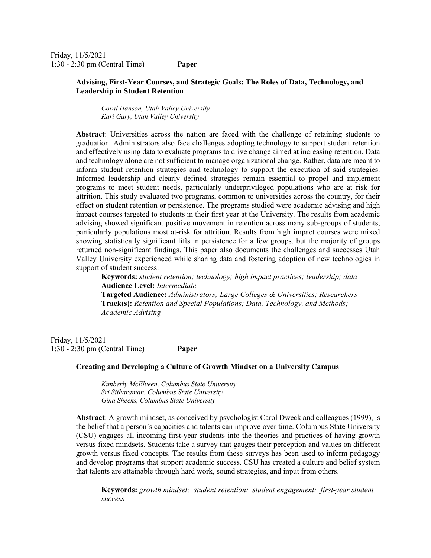Friday, 11/5/2021 1:30 - 2:30 pm (Central Time) **Paper** 

# **Advising, First-Year Courses, and Strategic Goals: The Roles of Data, Technology, and Leadership in Student Retention**

*Coral Hanson, Utah Valley University Kari Gary, Utah Valley University* 

**Abstract**: Universities across the nation are faced with the challenge of retaining students to graduation. Administrators also face challenges adopting technology to support student retention and effectively using data to evaluate programs to drive change aimed at increasing retention. Data and technology alone are not sufficient to manage organizational change. Rather, data are meant to inform student retention strategies and technology to support the execution of said strategies. Informed leadership and clearly defined strategies remain essential to propel and implement programs to meet student needs, particularly underprivileged populations who are at risk for attrition. This study evaluated two programs, common to universities across the country, for their effect on student retention or persistence. The programs studied were academic advising and high impact courses targeted to students in their first year at the University. The results from academic advising showed significant positive movement in retention across many sub-groups of students, particularly populations most at-risk for attrition. Results from high impact courses were mixed showing statistically significant lifts in persistence for a few groups, but the majority of groups returned non-significant findings. This paper also documents the challenges and successes Utah Valley University experienced while sharing data and fostering adoption of new technologies in support of student success.

**Keywords:** *student retention; technology; high impact practices; leadership; data*  **Audience Level:** *Intermediate*

**Targeted Audience:** *Administrators; Large Colleges & Universities; Researchers*  **Track(s):** *Retention and Special Populations; Data, Technology, and Methods; Academic Advising*

Friday, 11/5/2021 1:30 - 2:30 pm (Central Time) **Paper** 

#### **Creating and Developing a Culture of Growth Mindset on a University Campus**

*Kimberly McElveen, Columbus State University Sri Sitharaman, Columbus State University Gina Sheeks, Columbus State University* 

**Abstract**: A growth mindset, as conceived by psychologist Carol Dweck and colleagues (1999), is the belief that a person's capacities and talents can improve over time. Columbus State University (CSU) engages all incoming first-year students into the theories and practices of having growth versus fixed mindsets. Students take a survey that gauges their perception and values on different growth versus fixed concepts. The results from these surveys has been used to inform pedagogy and develop programs that support academic success. CSU has created a culture and belief system that talents are attainable through hard work, sound strategies, and input from others.

**Keywords:** *growth mindset; student retention; student engagement; first-year student success*